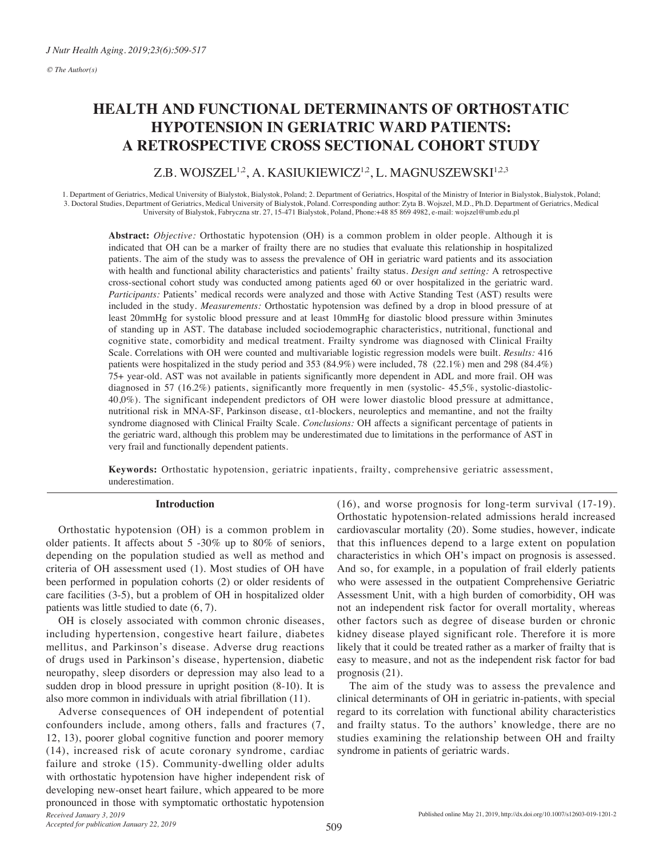# **HEALTH AND FUNCTIONAL DETERMINANTS OF ORTHOSTATIC HYPOTENSION IN GERIATRIC WARD PATIENTS: A RETROSPECTIVE CROSS SECTIONAL COHORT STUDY**

# Z.B. WOJSZEL<sup>1,2</sup>, A. KASIUKIEWICZ<sup>1,2</sup>, L. MAGNUSZEWSKI<sup>1,2,3</sup>

1. Department of Geriatrics, Medical University of Bialystok, Bialystok, Poland; 2. Department of Geriatrics, Hospital of the Ministry of Interior in Bialystok, Bialystok, Poland; 3. Doctoral Studies, Department of Geriatrics, Medical University of Bialystok, Poland. Corresponding author: Zyta B. Wojszel, M.D., Ph.D. Department of Geriatrics, Medical University of Bialystok, Fabryczna str. 27, 15-471 Bialystok, Poland, Phone:+48 85 869 4982, e-mail: wojszel@umb.edu.pl

**Abstract:** *Objective:* Orthostatic hypotension (OH) is a common problem in older people. Although it is indicated that OH can be a marker of frailty there are no studies that evaluate this relationship in hospitalized patients. The aim of the study was to assess the prevalence of OH in geriatric ward patients and its association with health and functional ability characteristics and patients' frailty status. *Design and setting:* A retrospective cross-sectional cohort study was conducted among patients aged 60 or over hospitalized in the geriatric ward. *Participants:* Patients' medical records were analyzed and those with Active Standing Test (AST) results were included in the study. *Measurements:* Orthostatic hypotension was defined by a drop in blood pressure of at least 20mmHg for systolic blood pressure and at least 10mmHg for diastolic blood pressure within 3minutes of standing up in AST. The database included sociodemographic characteristics, nutritional, functional and cognitive state, comorbidity and medical treatment. Frailty syndrome was diagnosed with Clinical Frailty Scale. Correlations with OH were counted and multivariable logistic regression models were built. *Results:* 416 patients were hospitalized in the study period and 353 (84.9%) were included, 78 (22.1%) men and 298 (84.4%) 75+ year-old. AST was not available in patients significantly more dependent in ADL and more frail. OH was diagnosed in 57 (16.2%) patients, significantly more frequently in men (systolic- 45,5%, systolic-diastolic-40,0%). The significant independent predictors of OH were lower diastolic blood pressure at admittance, nutritional risk in MNA-SF, Parkinson disease, α1-blockers, neuroleptics and memantine, and not the frailty syndrome diagnosed with Clinical Frailty Scale. *Conclusions:* OH affects a significant percentage of patients in the geriatric ward, although this problem may be underestimated due to limitations in the performance of AST in very frail and functionally dependent patients.

**Keywords:** Orthostatic hypotension, geriatric inpatients, frailty, comprehensive geriatric assessment, underestimation.

# **Introduction**

Orthostatic hypotension (OH) is a common problem in older patients. It affects about 5 -30% up to 80% of seniors, depending on the population studied as well as method and criteria of OH assessment used (1). Most studies of OH have been performed in population cohorts (2) or older residents of care facilities (3-5), but a problem of OH in hospitalized older patients was little studied to date (6, 7).

OH is closely associated with common chronic diseases, including hypertension, congestive heart failure, diabetes mellitus, and Parkinson's disease. Adverse drug reactions of drugs used in Parkinson's disease, hypertension, diabetic neuropathy, sleep disorders or depression may also lead to a sudden drop in blood pressure in upright position (8-10). It is also more common in individuals with atrial fibrillation (11).

*Received January 3, 2019* Adverse consequences of OH independent of potential confounders include, among others, falls and fractures (7, 12, 13), poorer global cognitive function and poorer memory (14), increased risk of acute coronary syndrome, cardiac failure and stroke (15). Community-dwelling older adults with orthostatic hypotension have higher independent risk of developing new-onset heart failure, which appeared to be more pronounced in those with symptomatic orthostatic hypotension (16), and worse prognosis for long-term survival (17-19). Orthostatic hypotension-related admissions herald increased cardiovascular mortality (20). Some studies, however, indicate that this influences depend to a large extent on population characteristics in which OH's impact on prognosis is assessed. And so, for example, in a population of frail elderly patients who were assessed in the outpatient Comprehensive Geriatric Assessment Unit, with a high burden of comorbidity, OH was not an independent risk factor for overall mortality, whereas other factors such as degree of disease burden or chronic kidney disease played significant role. Therefore it is more likely that it could be treated rather as a marker of frailty that is easy to measure, and not as the independent risk factor for bad prognosis (21).

The aim of the study was to assess the prevalence and clinical determinants of OH in geriatric in-patients, with special regard to its correlation with functional ability characteristics and frailty status. To the authors' knowledge, there are no studies examining the relationship between OH and frailty syndrome in patients of geriatric wards.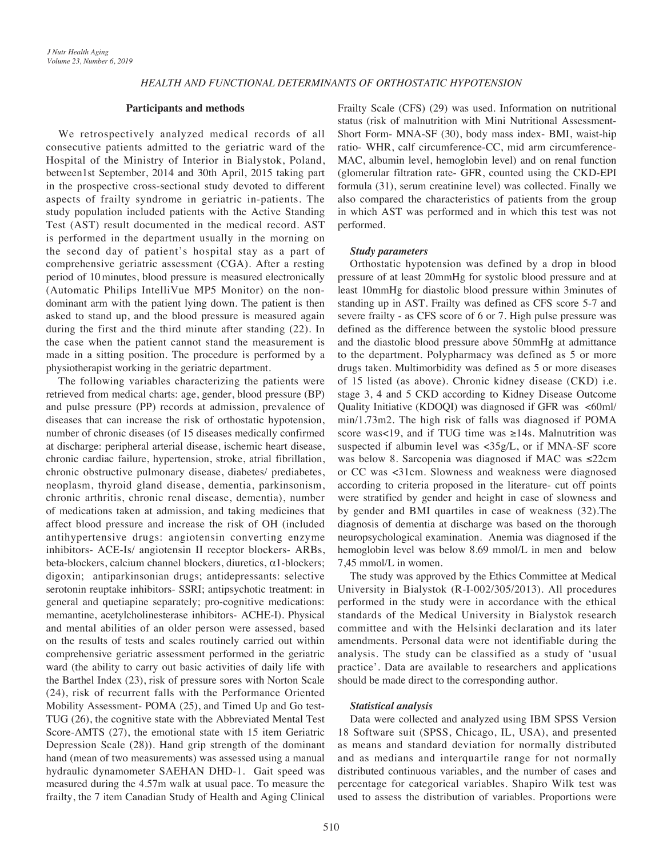# **Participants and methods**

We retrospectively analyzed medical records of all consecutive patients admitted to the geriatric ward of the Hospital of the Ministry of Interior in Bialystok, Poland, between1st September, 2014 and 30th April, 2015 taking part in the prospective cross-sectional study devoted to different aspects of frailty syndrome in geriatric in-patients. The study population included patients with the Active Standing Test (AST) result documented in the medical record. AST is performed in the department usually in the morning on the second day of patient's hospital stay as a part of comprehensive geriatric assessment (CGA). After a resting period of 10minutes, blood pressure is measured electronically (Automatic Philips IntelliVue MP5 Monitor) on the nondominant arm with the patient lying down. The patient is then asked to stand up, and the blood pressure is measured again during the first and the third minute after standing (22). In the case when the patient cannot stand the measurement is made in a sitting position. The procedure is performed by a physiotherapist working in the geriatric department.

The following variables characterizing the patients were retrieved from medical charts: age, gender, blood pressure (BP) and pulse pressure (PP) records at admission, prevalence of diseases that can increase the risk of orthostatic hypotension, number of chronic diseases (of 15 diseases medically confirmed at discharge: peripheral arterial disease, ischemic heart disease, chronic cardiac failure, hypertension, stroke, atrial fibrillation, chronic obstructive pulmonary disease, diabetes/ prediabetes, neoplasm, thyroid gland disease, dementia, parkinsonism, chronic arthritis, chronic renal disease, dementia), number of medications taken at admission, and taking medicines that affect blood pressure and increase the risk of OH (included antihypertensive drugs: angiotensin converting enzyme inhibitors- ACE-Is/ angiotensin II receptor blockers- ARBs, beta-blockers, calcium channel blockers, diuretics, α1-blockers; digoxin; antiparkinsonian drugs; antidepressants: selective serotonin reuptake inhibitors- SSRI; antipsychotic treatment: in general and quetiapine separately; pro-cognitive medications: memantine, acetylcholinesterase inhibitors- ACHE-I). Physical and mental abilities of an older person were assessed, based on the results of tests and scales routinely carried out within comprehensive geriatric assessment performed in the geriatric ward (the ability to carry out basic activities of daily life with the Barthel Index (23), risk of pressure sores with Norton Scale (24), risk of recurrent falls with the Performance Oriented Mobility Assessment- POMA (25), and Timed Up and Go test-TUG (26), the cognitive state with the Abbreviated Mental Test Score-AMTS (27), the emotional state with 15 item Geriatric Depression Scale (28)). Hand grip strength of the dominant hand (mean of two measurements) was assessed using a manual hydraulic dynamometer SAEHAN DHD-1. Gait speed was measured during the 4.57m walk at usual pace. To measure the frailty, the 7 item Canadian Study of Health and Aging Clinical

Frailty Scale (CFS) (29) was used. Information on nutritional status (risk of malnutrition with Mini Nutritional Assessment-Short Form- MNA-SF (30), body mass index- BMI, waist-hip ratio- WHR, calf circumference-CC, mid arm circumference-MAC, albumin level, hemoglobin level) and on renal function (glomerular filtration rate- GFR, counted using the CKD-EPI formula (31), serum creatinine level) was collected. Finally we also compared the characteristics of patients from the group in which AST was performed and in which this test was not performed.

# *Study parameters*

Orthostatic hypotension was defined by a drop in blood pressure of at least 20mmHg for systolic blood pressure and at least 10mmHg for diastolic blood pressure within 3minutes of standing up in AST. Frailty was defined as CFS score 5-7 and severe frailty - as CFS score of 6 or 7. High pulse pressure was defined as the difference between the systolic blood pressure and the diastolic blood pressure above 50mmHg at admittance to the department. Polypharmacy was defined as 5 or more drugs taken. Multimorbidity was defined as 5 or more diseases of 15 listed (as above). Chronic kidney disease (CKD) i.e. stage 3, 4 and 5 CKD according to Kidney Disease Outcome Quality Initiative (KDOQI) was diagnosed if GFR was <60ml/ min/1.73m2. The high risk of falls was diagnosed if POMA score was<19, and if TUG time was ≥14s. Malnutrition was suspected if albumin level was <35g/L, or if MNA-SF score was below 8. Sarcopenia was diagnosed if MAC was ≤22cm or CC was <31cm. Slowness and weakness were diagnosed according to criteria proposed in the literature- cut off points were stratified by gender and height in case of slowness and by gender and BMI quartiles in case of weakness (32).The diagnosis of dementia at discharge was based on the thorough neuropsychological examination. Anemia was diagnosed if the hemoglobin level was below 8.69 mmol/L in men and below 7,45 mmol/L in women.

The study was approved by the Ethics Committee at Medical University in Bialystok (R-I-002/305/2013). All procedures performed in the study were in accordance with the ethical standards of the Medical University in Bialystok research committee and with the Helsinki declaration and its later amendments. Personal data were not identifiable during the analysis. The study can be classified as a study of 'usual practice'. Data are available to researchers and applications should be made direct to the corresponding author.

# *Statistical analysis*

Data were collected and analyzed using IBM SPSS Version 18 Software suit (SPSS, Chicago, IL, USA), and presented as means and standard deviation for normally distributed and as medians and interquartile range for not normally distributed continuous variables, and the number of cases and percentage for categorical variables. Shapiro Wilk test was used to assess the distribution of variables. Proportions were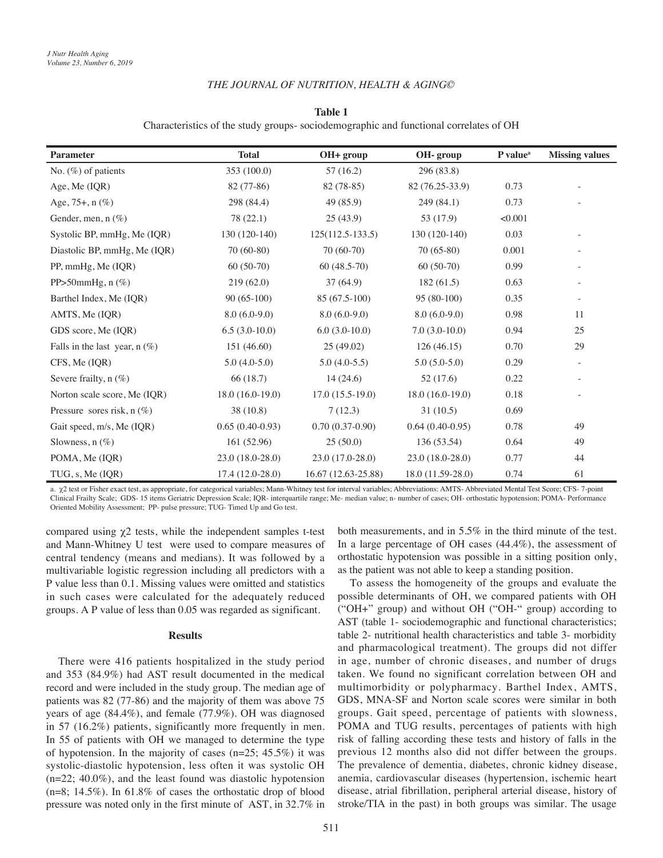### *THE JOURNAL OF NUTRITION, HEALTH & AGING©*

# **Table 1**

Characteristics of the study groups- sociodemographic and functional correlates of OH

| <b>Parameter</b>                | <b>Total</b>      | OH+ group           | OH- group         | P value <sup>a</sup> | <b>Missing values</b> |
|---------------------------------|-------------------|---------------------|-------------------|----------------------|-----------------------|
| No. $(\%)$ of patients          | 353 (100.0)       | 57(16.2)            | 296 (83.8)        |                      |                       |
| Age, Me (IQR)                   | 82 (77-86)        | 82 (78-85)          | 82 (76.25-33.9)   | 0.73                 |                       |
| Age, $75+$ , n $(\%)$           | 298 (84.4)        | 49(85.9)            | 249 (84.1)        | 0.73                 |                       |
| Gender, men, n (%)              | 78 (22.1)         | 25(43.9)            | 53 (17.9)         | < 0.001              |                       |
| Systolic BP, mmHg, Me (IQR)     | $130(120-140)$    | $125(112.5-133.5)$  | 130 (120-140)     | 0.03                 |                       |
| Diastolic BP, mmHg, Me (IQR)    | $70(60-80)$       | $70(60-70)$         | $70(65-80)$       | 0.001                |                       |
| PP, mmHg, Me (IQR)              | $60(50-70)$       | $60(48.5-70)$       | $60(50-70)$       | 0.99                 |                       |
| PP $>50$ mmHg, n $(\%)$         | 219(62.0)         | 37(64.9)            | 182(61.5)         | 0.63                 |                       |
| Barthel Index, Me (IQR)         | $90(65-100)$      | 85 (67.5-100)       | 95 (80-100)       | 0.35                 |                       |
| AMTS, Me (IQR)                  | $8.0(6.0-9.0)$    | $8.0(6.0-9.0)$      | $8.0(6.0-9.0)$    | 0.98                 | 11                    |
| GDS score, Me (IQR)             | $6.5(3.0-10.0)$   | $6.0(3.0-10.0)$     | $7.0(3.0-10.0)$   | 0.94                 | 25                    |
| Falls in the last year, $n$ (%) | 151 (46.60)       | 25(49.02)           | 126(46.15)        | 0.70                 | 29                    |
| CFS, Me (IQR)                   | $5.0(4.0-5.0)$    | $5.0(4.0-5.5)$      | $5.0(5.0-5.0)$    | 0.29                 |                       |
| Severe frailty, $n$ (%)         | 66 (18.7)         | 14(24.6)            | 52(17.6)          | 0.22                 |                       |
| Norton scale score, Me (IQR)    | $18.0(16.0-19.0)$ | $17.0(15.5-19.0)$   | $18.0(16.0-19.0)$ | 0.18                 |                       |
| Pressure sores risk, $n(\%)$    | 38 (10.8)         | 7(12.3)             | 31(10.5)          | 0.69                 |                       |
| Gait speed, m/s, Me (IQR)       | $0.65(0.40-0.93)$ | $0.70(0.37-0.90)$   | $0.64(0.40-0.95)$ | 0.78                 | 49                    |
| Slowness, $n(\%)$               | 161(52.96)        | 25(50.0)            | 136 (53.54)       | 0.64                 | 49                    |
| POMA, Me (IQR)                  | $23.0(18.0-28.0)$ | 23.0 (17.0-28.0)    | 23.0 (18.0-28.0)  | 0.77                 | 44                    |
| TUG, s, Me (IQR)                | $17.4(12.0-28.0)$ | 16.67 (12.63-25.88) | 18.0 (11.59-28.0) | 0.74                 | 61                    |

a. χ2 test or Fisher exact test, as appropriate, for categorical variables; Mann-Whitney test for interval variables; Abbreviations: AMTS- Abbreviated Mental Test Score; CFS- 7-point Clinical Frailty Scale; GDS- 15 items Geriatric Depression Scale; IQR- interquartile range; Me- median value; n- number of cases; OH- orthostatic hypotension; POMA- Performance Oriented Mobility Assessment; PP- pulse pressure; TUG- Timed Up and Go test.

compared using  $χ2$  tests, while the independent samples t-test and Mann-Whitney U test were used to compare measures of central tendency (means and medians). It was followed by a multivariable logistic regression including all predictors with a P value less than 0.1. Missing values were omitted and statistics in such cases were calculated for the adequately reduced groups. A P value of less than 0.05 was regarded as significant.

# **Results**

There were 416 patients hospitalized in the study period and 353 (84.9%) had AST result documented in the medical record and were included in the study group. The median age of patients was 82 (77-86) and the majority of them was above 75 years of age (84.4%), and female (77.9%). OH was diagnosed in 57 (16.2%) patients, significantly more frequently in men. In 55 of patients with OH we managed to determine the type of hypotension. In the majority of cases  $(n=25; 45.5%)$  it was systolic-diastolic hypotension, less often it was systolic OH (n=22; 40.0%), and the least found was diastolic hypotension  $(n=8; 14.5\%)$ . In 61.8% of cases the orthostatic drop of blood pressure was noted only in the first minute of AST, in 32.7% in both measurements, and in 5.5% in the third minute of the test. In a large percentage of OH cases (44.4%), the assessment of orthostatic hypotension was possible in a sitting position only, as the patient was not able to keep a standing position.

To assess the homogeneity of the groups and evaluate the possible determinants of OH, we compared patients with OH ("OH+" group) and without OH ("OH-" group) according to AST (table 1- sociodemographic and functional characteristics; table 2- nutritional health characteristics and table 3- morbidity and pharmacological treatment). The groups did not differ in age, number of chronic diseases, and number of drugs taken. We found no significant correlation between OH and multimorbidity or polypharmacy. Barthel Index, AMTS, GDS, MNA-SF and Norton scale scores were similar in both groups. Gait speed, percentage of patients with slowness, POMA and TUG results, percentages of patients with high risk of falling according these tests and history of falls in the previous 12 months also did not differ between the groups. The prevalence of dementia, diabetes, chronic kidney disease, anemia, cardiovascular diseases (hypertension, ischemic heart disease, atrial fibrillation, peripheral arterial disease, history of stroke/TIA in the past) in both groups was similar. The usage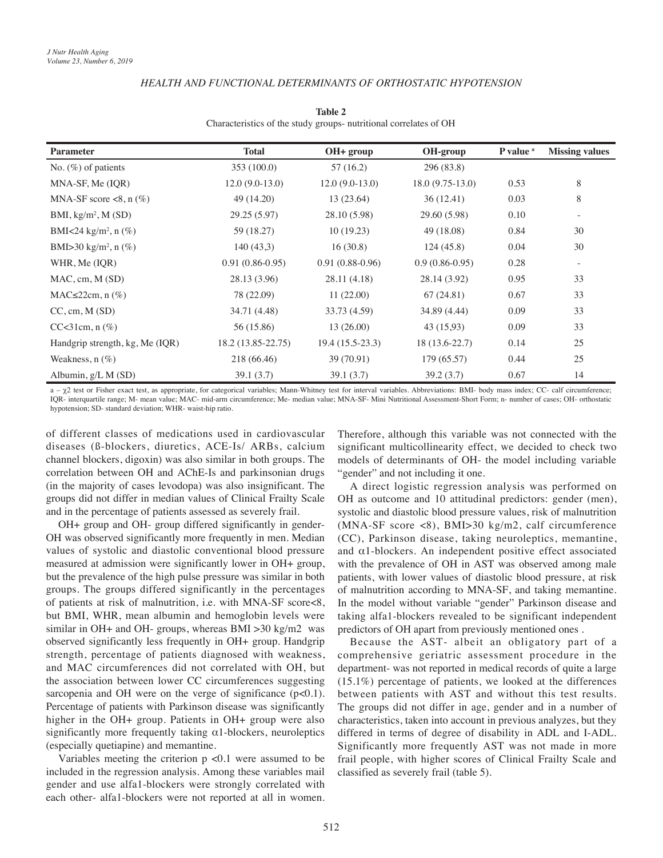# *HEALTH AND FUNCTIONAL DETERMINANTS OF ORTHOSTATIC HYPOTENSION*

| <b>Parameter</b>                    | <b>Total</b>       | OH+ group         | OH-group          | P value <sup>a</sup> | <b>Missing values</b> |
|-------------------------------------|--------------------|-------------------|-------------------|----------------------|-----------------------|
| No. $(\%)$ of patients              | 353 (100.0)        | 57(16.2)          | 296 (83.8)        |                      |                       |
| MNA-SF, Me (IQR)                    | $12.0(9.0-13.0)$   | $12.0(9.0-13.0)$  | $18.0(9.75-13.0)$ | 0.53                 | 8                     |
| MNA-SF score $\lt 8$ , n (%)        | 49 (14.20)         | 13 (23.64)        | 36(12.41)         | 0.03                 | 8                     |
| BMI, $kg/m^2$ , M (SD)              | 29.25 (5.97)       | 28.10 (5.98)      | 29.60 (5.98)      | 0.10                 | -                     |
| BMI<24 kg/m <sup>2</sup> , n $(\%)$ | 59 (18.27)         | 10(19.23)         | 49 (18.08)        | 0.84                 | 30                    |
| BMI>30 kg/m <sup>2</sup> , n $(\%)$ | 140(43,3)          | 16(30.8)          | 124(45.8)         | 0.04                 | 30                    |
| WHR, Me (IOR)                       | $0.91(0.86-0.95)$  | $0.91(0.88-0.96)$ | $0.9(0.86-0.95)$  | 0.28                 | ۰.                    |
| MAC, cm, M(SD)                      | 28.13 (3.96)       | 28.11 (4.18)      | 28.14 (3.92)      | 0.95                 | 33                    |
| $MAC \leq 22cm$ , n $(\%)$          | 78 (22.09)         | 11(22.00)         | 67(24.81)         | 0.67                 | 33                    |
| CC, cm, M(SD)                       | 34.71 (4.48)       | 33.73 (4.59)      | 34.89 (4.44)      | 0.09                 | 33                    |
| $CC < 31$ cm, n $(\%)$              | 56 (15.86)         | 13(26.00)         | 43 (15,93)        | 0.09                 | 33                    |
| Handgrip strength, kg, Me (IQR)     | 18.2 (13.85-22.75) | $19.4(15.5-23.3)$ | $18(13.6-22.7)$   | 0.14                 | 25                    |
| Weakness, $n$ $(\%)$                | 218 (66.46)        | 39 (70.91)        | 179(65.57)        | 0.44                 | 25                    |
| Albumin, $g/L M(SD)$                | 39.1(3.7)          | 39.1(3.7)         | 39.2 (3.7)        | 0.67                 | 14                    |

**Table 2** Characteristics of the study groups- nutritional correlates of OH

a - χ2 test or Fisher exact test, as appropriate, for categorical variables; Mann-Whitney test for interval variables. Abbreviations: BMI- body mass index; CC- calf circumference; IQR- interquartile range; M- mean value; MAC- mid-arm circumference; Me- median value; MNA-SF- Mini Nutritional Assessment-Short Form; n- number of cases; OH- orthostatic hypotension; SD- standard deviation; WHR- waist-hip ratio.

of different classes of medications used in cardiovascular diseases (ß-blockers, diuretics, ACE-Is/ ARBs, calcium channel blockers, digoxin) was also similar in both groups. The correlation between OH and AChE-Is and parkinsonian drugs (in the majority of cases levodopa) was also insignificant. The groups did not differ in median values of Clinical Frailty Scale and in the percentage of patients assessed as severely frail.

OH+ group and OH- group differed significantly in gender-OH was observed significantly more frequently in men. Median values of systolic and diastolic conventional blood pressure measured at admission were significantly lower in OH+ group, but the prevalence of the high pulse pressure was similar in both groups. The groups differed significantly in the percentages of patients at risk of malnutrition, i.e. with MNA-SF score<8, but BMI, WHR, mean albumin and hemoglobin levels were similar in OH+ and OH- groups, whereas BMI >30 kg/m2 was observed significantly less frequently in OH+ group. Handgrip strength, percentage of patients diagnosed with weakness, and MAC circumferences did not correlated with OH, but the association between lower CC circumferences suggesting sarcopenia and OH were on the verge of significance  $(p<0.1)$ . Percentage of patients with Parkinson disease was significantly higher in the OH+ group. Patients in OH+ group were also significantly more frequently taking  $\alpha$ 1-blockers, neuroleptics (especially quetiapine) and memantine.

Variables meeting the criterion  $p \lt 0.1$  were assumed to be included in the regression analysis. Among these variables mail gender and use alfa1-blockers were strongly correlated with each other- alfa1-blockers were not reported at all in women. Therefore, although this variable was not connected with the significant multicollinearity effect, we decided to check two models of determinants of OH- the model including variable "gender" and not including it one.

A direct logistic regression analysis was performed on OH as outcome and 10 attitudinal predictors: gender (men), systolic and diastolic blood pressure values, risk of malnutrition (MNA-SF score <8), BMI>30 kg/m2, calf circumference (CC), Parkinson disease, taking neuroleptics, memantine, and  $\alpha$ 1-blockers. An independent positive effect associated with the prevalence of OH in AST was observed among male patients, with lower values of diastolic blood pressure, at risk of malnutrition according to MNA-SF, and taking memantine. In the model without variable "gender" Parkinson disease and taking alfa1-blockers revealed to be significant independent predictors of OH apart from previously mentioned ones .

Because the AST- albeit an obligatory part of a comprehensive geriatric assessment procedure in the department- was not reported in medical records of quite a large (15.1%) percentage of patients, we looked at the differences between patients with AST and without this test results. The groups did not differ in age, gender and in a number of characteristics, taken into account in previous analyzes, but they differed in terms of degree of disability in ADL and I-ADL. Significantly more frequently AST was not made in more frail people, with higher scores of Clinical Frailty Scale and classified as severely frail (table 5).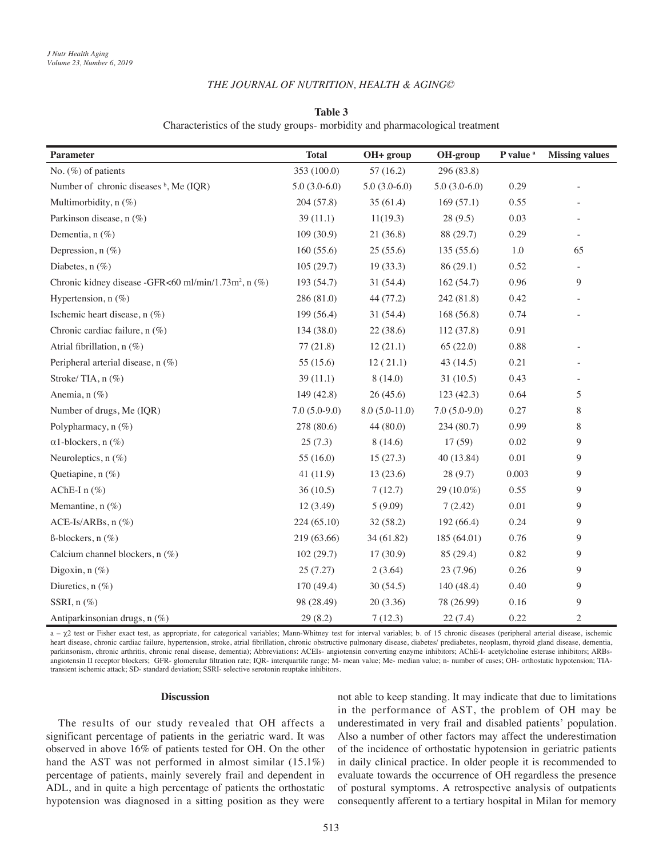### *THE JOURNAL OF NUTRITION, HEALTH & AGING©*

# **Table 3** Characteristics of the study groups- morbidity and pharmacological treatment

| <b>Parameter</b>                                                 | <b>Total</b>   | OH+ group       | OH-group       | P value <sup>a</sup> | <b>Missing values</b>    |
|------------------------------------------------------------------|----------------|-----------------|----------------|----------------------|--------------------------|
| No. (%) of patients                                              | 353 (100.0)    | 57(16.2)        | 296 (83.8)     |                      |                          |
| Number of chronic diseases <sup>b</sup> , Me (IQR)               | $5.0(3.0-6.0)$ | $5.0(3.0-6.0)$  | $5.0(3.0-6.0)$ | 0.29                 |                          |
| Multimorbidity, n (%)                                            | 204(57.8)      | 35(61.4)        | 169(57.1)      | 0.55                 |                          |
| Parkinson disease, n (%)                                         | 39(11.1)       | 11(19.3)        | 28(9.5)        | 0.03                 |                          |
| Dementia, n (%)                                                  | 109(30.9)      | 21(36.8)        | 88 (29.7)      | 0.29                 | $\overline{\phantom{a}}$ |
| Depression, $n$ (%)                                              | 160(55.6)      | 25(55.6)        | 135(55.6)      | 1.0                  | 65                       |
| Diabetes, $n$ (%)                                                | 105(29.7)      | 19(33.3)        | 86(29.1)       | 0.52                 |                          |
| Chronic kidney disease -GFR<60 ml/min/1.73m <sup>2</sup> , n (%) | 193 (54.7)     | 31(54.4)        | 162(54.7)      | 0.96                 | 9                        |
| Hypertension, $n$ (%)                                            | 286 (81.0)     | 44 (77.2)       | 242 (81.8)     | 0.42                 |                          |
| Ischemic heart disease, n (%)                                    | 199 (56.4)     | 31(54.4)        | 168(56.8)      | 0.74                 |                          |
| Chronic cardiac failure, n (%)                                   | 134 (38.0)     | 22(38.6)        | 112 (37.8)     | 0.91                 |                          |
| Atrial fibrillation, n (%)                                       | 77(21.8)       | 12(21.1)        | 65(22.0)       | 0.88                 |                          |
| Peripheral arterial disease, n (%)                               | 55 (15.6)      | 12(21.1)        | 43(14.5)       | 0.21                 |                          |
| Stroke/TIA, n (%)                                                | 39(11.1)       | 8(14.0)         | 31(10.5)       | 0.43                 |                          |
| Anemia, $n$ $(\%)$                                               | 149 (42.8)     | 26(45.6)        | 123 (42.3)     | 0.64                 | 5                        |
| Number of drugs, Me (IQR)                                        | $7.0(5.0-9.0)$ | $8.0(5.0-11.0)$ | $7.0(5.0-9.0)$ | 0.27                 | 8                        |
| Polypharmacy, $n$ $(\%)$                                         | 278 (80.6)     | 44 (80.0)       | 234 (80.7)     | 0.99                 | 8                        |
| $\alpha$ 1-blockers, n $(\%)$                                    | 25(7.3)        | 8(14.6)         | 17(59)         | 0.02                 | 9                        |
| Neuroleptics, $n$ (%)                                            | 55 $(16.0)$    | 15(27.3)        | 40 (13.84)     | 0.01                 | 9                        |
| Quetiapine, n (%)                                                | 41(11.9)       | 13(23.6)        | 28(9.7)        | 0.003                | 9                        |
| AChE-I $n$ (%)                                                   | 36(10.5)       | 7(12.7)         | 29 (10.0%)     | 0.55                 | 9                        |
| Memantine, n (%)                                                 | 12 (3.49)      | 5(9.09)         | 7(2.42)        | 0.01                 | 9                        |
| $ACE-Is/ARBs, n(\%)$                                             | 224(65.10)     | 32(58.2)        | 192(66.4)      | 0.24                 | 9                        |
| $\beta$ -blockers, n $(\%)$                                      | 219 (63.66)    | 34 (61.82)      | 185 (64.01)    | 0.76                 | 9                        |
| Calcium channel blockers, n (%)                                  | 102(29.7)      | 17(30.9)        | 85 (29.4)      | 0.82                 | 9                        |
| Digoxin, $n$ (%)                                                 | 25 (7.27)      | 2(3.64)         | 23 (7.96)      | 0.26                 | 9                        |
| Diuretics, n (%)                                                 | 170 (49.4)     | 30(54.5)        | 140 (48.4)     | 0.40                 | 9                        |
| SSRI, $n$ $(\%)$                                                 | 98 (28.49)     | 20(3.36)        | 78 (26.99)     | 0.16                 | 9                        |
| Antiparkinsonian drugs, n (%)                                    | 29(8.2)        | 7(12.3)         | 22(7.4)        | 0.22                 | 2                        |

a – χ2 test or Fisher exact test, as appropriate, for categorical variables; Mann-Whitney test for interval variables; b. of 15 chronic diseases (peripheral arterial disease, ischemic heart disease, chronic cardiac failure, hypertension, stroke, atrial fibrillation, chronic obstructive pulmonary disease, diabetes/ prediabetes, neoplasm, thyroid gland disease, dementia, parkinsonism, chronic arthritis, chronic renal disease, dementia); Abbreviations: ACEIs- angiotensin converting enzyme inhibitors; AChE-I- acetylcholine esterase inhibitors; ARBsangiotensin II receptor blockers; GFR- glomerular filtration rate; IQR- interquartile range; M- mean value; Me- median value; n- number of cases; OH- orthostatic hypotension; TIAtransient ischemic attack; SD- standard deviation; SSRI- selective serotonin reuptake inhibitors.

#### **Discussion**

The results of our study revealed that OH affects a significant percentage of patients in the geriatric ward. It was observed in above 16% of patients tested for OH. On the other hand the AST was not performed in almost similar (15.1%) percentage of patients, mainly severely frail and dependent in ADL, and in quite a high percentage of patients the orthostatic hypotension was diagnosed in a sitting position as they were

not able to keep standing. It may indicate that due to limitations in the performance of AST, the problem of OH may be underestimated in very frail and disabled patients' population. Also a number of other factors may affect the underestimation of the incidence of orthostatic hypotension in geriatric patients in daily clinical practice. In older people it is recommended to evaluate towards the occurrence of OH regardless the presence of postural symptoms. A retrospective analysis of outpatients consequently afferent to a tertiary hospital in Milan for memory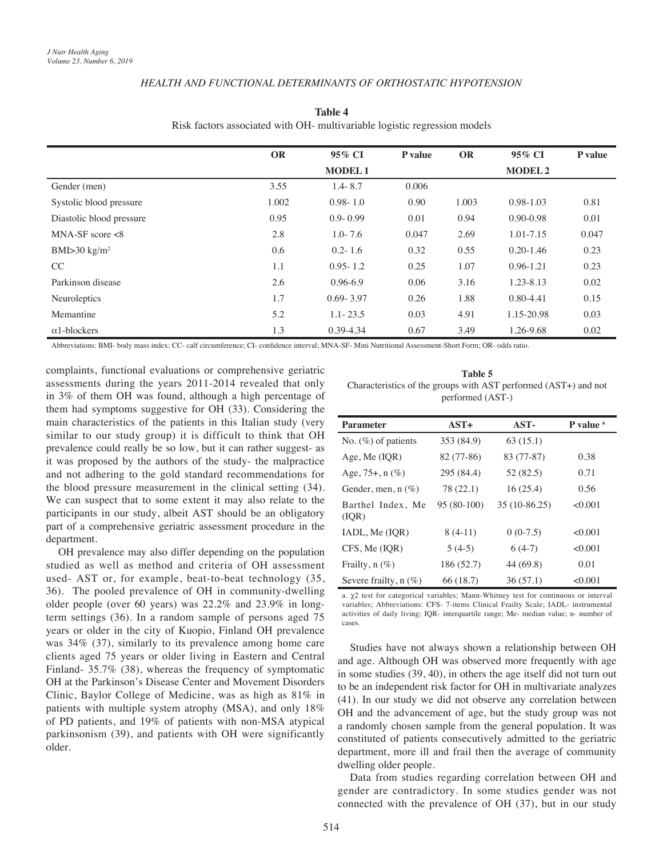# *HEALTH AND FUNCTIONAL DETERMINANTS OF ORTHOSTATIC HYPOTENSION*

|                              | <b>OR</b> | 95% CI        | P value | <b>OR</b> | 95% CI         | <b>P</b> value |
|------------------------------|-----------|---------------|---------|-----------|----------------|----------------|
|                              |           | <b>MODEL1</b> |         |           | <b>MODEL 2</b> |                |
| Gender (men)                 | 3.55      | $1.4 - 8.7$   | 0.006   |           |                |                |
| Systolic blood pressure      | 1.002     | $0.98 - 1.0$  | 0.90    | 1.003     | $0.98 - 1.03$  | 0.81           |
| Diastolic blood pressure     | 0.95      | $0.9 - 0.99$  | 0.01    | 0.94      | $0.90 - 0.98$  | 0.01           |
| $MNA-SF$ score $<8$          | 2.8       | $1.0 - 7.6$   | 0.047   | 2.69      | 1.01-7.15      | 0.047          |
| BMI $>$ 30 kg/m <sup>2</sup> | 0.6       | $0.2 - 1.6$   | 0.32    | 0.55      | $0.20 - 1.46$  | 0.23           |
| CC                           | 1.1       | $0.95 - 1.2$  | 0.25    | 1.07      | $0.96 - 1.21$  | 0.23           |
| Parkinson disease            | 2.6       | $0.96 - 6.9$  | 0.06    | 3.16      | 1.23-8.13      | 0.02           |
| Neuroleptics                 | 1.7       | $0.69 - 3.97$ | 0.26    | 1.88      | $0.80 - 4.41$  | 0.15           |
| Memantine                    | 5.2       | $1.1 - 23.5$  | 0.03    | 4.91      | 1.15-20.98     | 0.03           |
| $\alpha$ 1-blockers          | 1.3       | 0.39-4.34     | 0.67    | 3.49      | 1.26-9.68      | 0.02           |

**Table 4** Risk factors associated with OH- multivariable logistic regression models

Abbreviations: BMI- body mass index; CC- calf circumference; CI- confidence interval; MNA-SF- Mini Nutritional Assessment-Short Form; OR- odds ratio.

complaints, functional evaluations or comprehensive geriatric assessments during the years 2011-2014 revealed that only in 3% of them OH was found, although a high percentage of them had symptoms suggestive for OH (33). Considering the main characteristics of the patients in this Italian study (very similar to our study group) it is difficult to think that OH prevalence could really be so low, but it can rather suggest- as it was proposed by the authors of the study- the malpractice and not adhering to the gold standard recommendations for the blood pressure measurement in the clinical setting (34). We can suspect that to some extent it may also relate to the participants in our study, albeit AST should be an obligatory part of a comprehensive geriatric assessment procedure in the department.

OH prevalence may also differ depending on the population studied as well as method and criteria of OH assessment used- AST or, for example, beat-to-beat technology (35, 36). The pooled prevalence of OH in community-dwelling older people (over 60 years) was 22.2% and 23.9% in longterm settings (36). In a random sample of persons aged 75 years or older in the city of Kuopio, Finland OH prevalence was 34% (37), similarly to its prevalence among home care clients aged 75 years or older living in Eastern and Central Finland- 35.7% (38), whereas the frequency of symptomatic OH at the Parkinson's Disease Center and Movement Disorders Clinic, Baylor College of Medicine, was as high as 81% in patients with multiple system atrophy (MSA), and only 18% of PD patients, and 19% of patients with non-MSA atypical parkinsonism (39), and patients with OH were significantly older.

**Table 5** Characteristics of the groups with AST performed (AST+) and not performed (AST-)

| <b>Parameter</b>           | $AST+$      | AST-          | P value <sup>a</sup> |
|----------------------------|-------------|---------------|----------------------|
| No. $(\%)$ of patients     | 353 (84.9)  | 63(15.1)      |                      |
| Age, Me $(IQR)$            | 82 (77-86)  | 83 (77-87)    | 0.38                 |
| Age, $75+$ , n $(\%)$      | 295 (84.4)  | 52 (82.5)     | 0.71                 |
| Gender, men, n $(\%)$      | 78 (22.1)   | 16(25.4)      | 0.56                 |
| Barthel Index, Me<br>(IOR) | 95 (80-100) | 35 (10-86.25) | < 0.001              |
| IADL, Me (IQR)             | $8(4-11)$   | $0(0-7.5)$    | < 0.001              |
| CFS, Me (IOR)              | $5(4-5)$    | $6(4-7)$      | < 0.001              |
| Frailty, $n$ $(\%)$        | 186 (52.7)  | 44 (69.8)     | 0.01                 |
| Severe frailty, $n$ (%)    | 66 (18.7)   | 36(57.1)      | < 0.001              |

a. χ2 test for categorical variables; Mann-Whitney test for continuous or interval variables; Abbreviations: CFS- 7-items Clinical Frailty Scale; IADL- instrumental activities of daily living; IQR- interquartile range; Me- median value; n- number of cases.

Studies have not always shown a relationship between OH and age. Although OH was observed more frequently with age in some studies (39, 40), in others the age itself did not turn out to be an independent risk factor for OH in multivariate analyzes (41). In our study we did not observe any correlation between OH and the advancement of age, but the study group was not a randomly chosen sample from the general population. It was constituted of patients consecutively admitted to the geriatric department, more ill and frail then the average of community dwelling older people.

Data from studies regarding correlation between OH and gender are contradictory. In some studies gender was not connected with the prevalence of OH (37), but in our study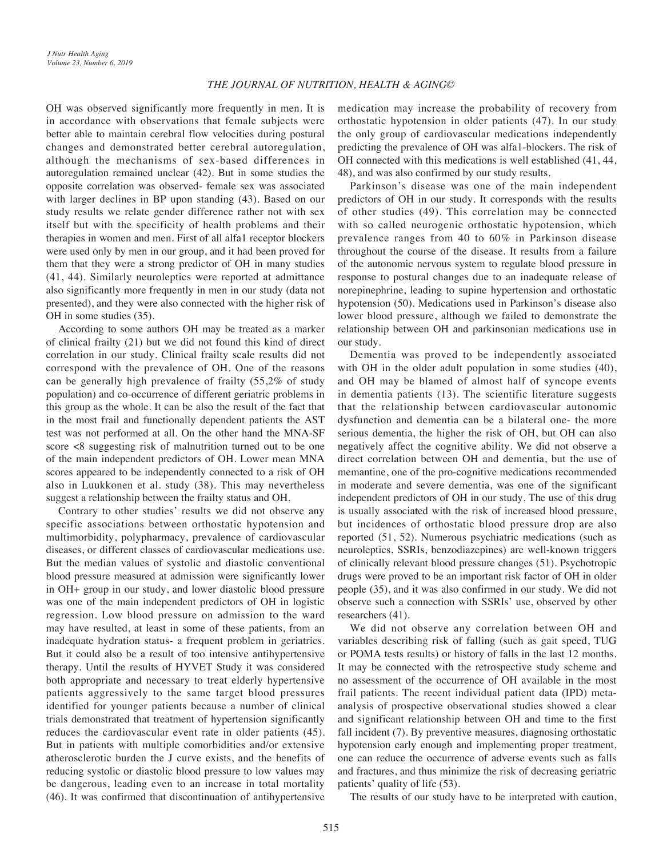OH was observed significantly more frequently in men. It is in accordance with observations that female subjects were better able to maintain cerebral flow velocities during postural changes and demonstrated better cerebral autoregulation, although the mechanisms of sex-based differences in autoregulation remained unclear (42). But in some studies the opposite correlation was observed- female sex was associated with larger declines in BP upon standing (43). Based on our study results we relate gender difference rather not with sex itself but with the specificity of health problems and their therapies in women and men. First of all alfa1 receptor blockers were used only by men in our group, and it had been proved for them that they were a strong predictor of OH in many studies (41, 44). Similarly neuroleptics were reported at admittance also significantly more frequently in men in our study (data not presented), and they were also connected with the higher risk of OH in some studies (35).

According to some authors OH may be treated as a marker of clinical frailty (21) but we did not found this kind of direct correlation in our study. Clinical frailty scale results did not correspond with the prevalence of OH. One of the reasons can be generally high prevalence of frailty (55,2% of study population) and co-occurrence of different geriatric problems in this group as the whole. It can be also the result of the fact that in the most frail and functionally dependent patients the AST test was not performed at all. On the other hand the MNA-SF score <8 suggesting risk of malnutrition turned out to be one of the main independent predictors of OH. Lower mean MNA scores appeared to be independently connected to a risk of OH also in Luukkonen et al. study (38). This may nevertheless suggest a relationship between the frailty status and OH.

Contrary to other studies' results we did not observe any specific associations between orthostatic hypotension and multimorbidity, polypharmacy, prevalence of cardiovascular diseases, or different classes of cardiovascular medications use. But the median values of systolic and diastolic conventional blood pressure measured at admission were significantly lower in OH+ group in our study, and lower diastolic blood pressure was one of the main independent predictors of OH in logistic regression. Low blood pressure on admission to the ward may have resulted, at least in some of these patients, from an inadequate hydration status- a frequent problem in geriatrics. But it could also be a result of too intensive antihypertensive therapy. Until the results of HYVET Study it was considered both appropriate and necessary to treat elderly hypertensive patients aggressively to the same target blood pressures identified for younger patients because a number of clinical trials demonstrated that treatment of hypertension significantly reduces the cardiovascular event rate in older patients (45). But in patients with multiple comorbidities and/or extensive atherosclerotic burden the J curve exists, and the benefits of reducing systolic or diastolic blood pressure to low values may be dangerous, leading even to an increase in total mortality (46). It was confirmed that discontinuation of antihypertensive

medication may increase the probability of recovery from orthostatic hypotension in older patients (47). In our study the only group of cardiovascular medications independently predicting the prevalence of OH was alfa1-blockers. The risk of OH connected with this medications is well established (41, 44, 48), and was also confirmed by our study results.

Parkinson's disease was one of the main independent predictors of OH in our study. It corresponds with the results of other studies (49). This correlation may be connected with so called neurogenic orthostatic hypotension, which prevalence ranges from 40 to 60% in Parkinson disease throughout the course of the disease. It results from a failure of the autonomic nervous system to regulate blood pressure in response to postural changes due to an inadequate release of norepinephrine, leading to supine hypertension and orthostatic hypotension (50). Medications used in Parkinson's disease also lower blood pressure, although we failed to demonstrate the relationship between OH and parkinsonian medications use in our study.

Dementia was proved to be independently associated with OH in the older adult population in some studies (40), and OH may be blamed of almost half of syncope events in dementia patients (13). The scientific literature suggests that the relationship between cardiovascular autonomic dysfunction and dementia can be a bilateral one- the more serious dementia, the higher the risk of OH, but OH can also negatively affect the cognitive ability. We did not observe a direct correlation between OH and dementia, but the use of memantine, one of the pro-cognitive medications recommended in moderate and severe dementia, was one of the significant independent predictors of OH in our study. The use of this drug is usually associated with the risk of increased blood pressure, but incidences of orthostatic blood pressure drop are also reported (51, 52). Numerous psychiatric medications (such as neuroleptics, SSRIs, benzodiazepines) are well-known triggers of clinically relevant blood pressure changes (51). Psychotropic drugs were proved to be an important risk factor of OH in older people (35), and it was also confirmed in our study. We did not observe such a connection with SSRIs' use, observed by other researchers (41).

We did not observe any correlation between OH and variables describing risk of falling (such as gait speed, TUG or POMA tests results) or history of falls in the last 12 months. It may be connected with the retrospective study scheme and no assessment of the occurrence of OH available in the most frail patients. The recent individual patient data (IPD) metaanalysis of prospective observational studies showed a clear and significant relationship between OH and time to the first fall incident (7). By preventive measures, diagnosing orthostatic hypotension early enough and implementing proper treatment, one can reduce the occurrence of adverse events such as falls and fractures, and thus minimize the risk of decreasing geriatric patients' quality of life (53).

The results of our study have to be interpreted with caution,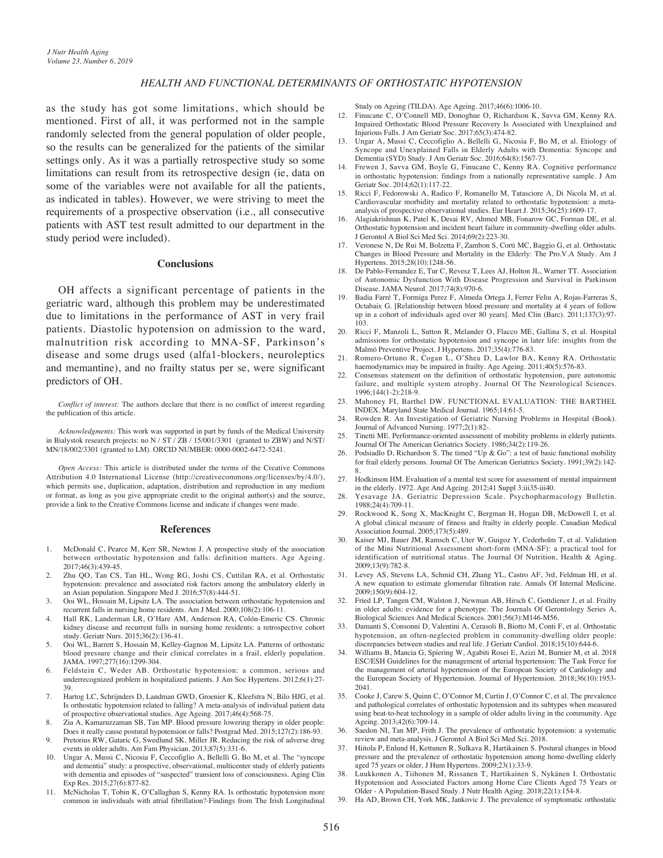# *HEALTH AND FUNCTIONAL DETERMINANTS OF ORTHOSTATIC HYPOTENSION*

as the study has got some limitations, which should be mentioned. First of all, it was performed not in the sample randomly selected from the general population of older people, so the results can be generalized for the patients of the similar settings only. As it was a partially retrospective study so some limitations can result from its retrospective design (ie, data on some of the variables were not available for all the patients, as indicated in tables). However, we were striving to meet the requirements of a prospective observation (i.e., all consecutive patients with AST test result admitted to our department in the study period were included).

#### **Conclusions**

OH affects a significant percentage of patients in the geriatric ward, although this problem may be underestimated due to limitations in the performance of AST in very frail patients. Diastolic hypotension on admission to the ward, malnutrition risk according to MNA-SF, Parkinson's disease and some drugs used (alfa1-blockers, neuroleptics and memantine), and no frailty status per se, were significant predictors of OH.

*Conflict of interest:* The authors declare that there is no conflict of interest regarding the publication of this article.

*Acknowledgments:* This work was supported in part by funds of the Medical University in Bialystok research projects: no N / ST / ZB / 15/001/3301 (granted to ZBW) and N/ST/ MN/18/002/3301 (granted to LM). ORCID NUMBER: 0000-0002-6472-5241.

*Open Access:* This article is distributed under the terms of the Creative Commons Attribution 4.0 International License (http://creativecommons.org/licenses/by/4.0/), which permits use, duplication, adaptation, distribution and reproduction in any medium or format, as long as you give appropriate credit to the original author(s) and the source, provide a link to the Creative Commons license and indicate if changes were made.

#### **References**

- 1. McDonald C, Pearce M, Kerr SR, Newton J. A prospective study of the association between orthostatic hypotension and falls: definition matters. Age Ageing. 2017;46(3):439-45.
- 2. Zhu QO, Tan CS, Tan HL, Wong RG, Joshi CS, Cuttilan RA, et al. Orthostatic hypotension: prevalence and associated risk factors among the ambulatory elderly in an Asian population. Singapore Med J. 2016;57(8):444-51.
- 3. Ooi WL, Hossain M, Lipsitz LA. The association between orthostatic hypotension and recurrent falls in nursing home residents. Am J Med. 2000;108(2):106-11.
- 4. Hall RK, Landerman LR, O'Hare AM, Anderson RA, Colón-Emeric CS. Chronic kidney disease and recurrent falls in nursing home residents: a retrospective cohort study. Geriatr Nurs. 2015;36(2):136-41.
- 5. Ooi WL, Barrett S, Hossain M, Kelley-Gagnon M, Lipsitz LA. Patterns of orthostatic blood pressure change and their clinical correlates in a frail, elderly population. JAMA. 1997;277(16):1299-304.
- 6. Feldstein C, Weder AB. Orthostatic hypotension: a common, serious and underrecognized problem in hospitalized patients. J Am Soc Hypertens. 2012;6(1):27- 39.
- 7. Hartog LC, Schrijnders D, Landman GWD, Groenier K, Kleefstra N, Bilo HJG, et al. Is orthostatic hypotension related to falling? A meta-analysis of individual patient data of prospective observational studies. Age Ageing. 2017;46(4):568-75.
- 8. Zia A, Kamaruzzaman SB, Tan MP. Blood pressure lowering therapy in older people: Does it really cause postural hypotension or falls? Postgrad Med. 2015;127(2):186-93.
- 9. Pretorius RW, Gataric G, Swedlund SK, Miller JR. Reducing the risk of adverse drug events in older adults. Am Fam Physician. 2013;87(5):331-6.
- 10. Ungar A, Mussi C, Nicosia F, Ceccofiglio A, Bellelli G, Bo M, et al. The "syncope and dementia" study: a prospective, observational, multicenter study of elderly patients with dementia and episodes of "suspected" transient loss of consciousness. Aging Clin Exp Res. 2015;27(6):877-82.
- 11. McNicholas T, Tobin K, O'Callaghan S, Kenny RA. Is orthostatic hypotension more common in individuals with atrial fibrillation?-Findings from The Irish Longitudinal

Study on Ageing (TILDA). Age Ageing. 2017;46(6):1006-10.

- 12. Finucane C, O'Connell MD, Donoghue O, Richardson K, Savva GM, Kenny RA. Impaired Orthostatic Blood Pressure Recovery Is Associated with Unexplained and Injurious Falls. J Am Geriatr Soc. 2017;65(3):474-82.
- 13. Ungar A, Mussi C, Ceccofiglio A, Bellelli G, Nicosia F, Bo M, et al. Etiology of Syncope and Unexplained Falls in Elderly Adults with Dementia: Syncope and Dementia (SYD) Study. J Am Geriatr Soc. 2016;64(8):1567-73.
- 14. Frewen J, Savva GM, Boyle G, Finucane C, Kenny RA. Cognitive performance in orthostatic hypotension: findings from a nationally representative sample. J Am Geriatr Soc. 2014;62(1):117-22.
- 15. Ricci F, Fedorowski A, Radico F, Romanello M, Tatasciore A, Di Nicola M, et al. Cardiovascular morbidity and mortality related to orthostatic hypotension: a metaanalysis of prospective observational studies. Eur Heart J. 2015;36(25):1609-17.
- 16. Alagiakrishnan K, Patel K, Desai RV, Ahmed MB, Fonarow GC, Forman DE, et al. Orthostatic hypotension and incident heart failure in community-dwelling older adults. J Gerontol A Biol Sci Med Sci. 2014;69(2):223-30.
- 17. Veronese N, De Rui M, Bolzetta F, Zambon S, Corti MC, Baggio G, et al. Orthostatic Changes in Blood Pressure and Mortality in the Elderly: The Pro.V.A Study. Am J Hypertens. 2015;28(10):1248-56.
- 18. De Pablo-Fernandez E, Tur C, Revesz T, Lees AJ, Holton JL, Warner TT. Association of Autonomic Dysfunction With Disease Progression and Survival in Parkinson Disease. JAMA Neurol. 2017;74(8):970-6.
- 19. Badia Farré T, Formiga Perez F, Almeda Ortega J, Ferrer Feliu A, Rojas-Farreras S, Octabaix G. [Relationship between blood pressure and mortality at 4 years of follow up in a cohort of individuals aged over 80 years]. Med Clin (Barc). 2011;137(3):97- 103.
- 20. Ricci F, Manzoli L, Sutton R, Melander O, Flacco ME, Gallina S, et al. Hospital admissions for orthostatic hypotension and syncope in later life: insights from the Malmö Preventive Project. J Hypertens. 2017;35(4):776-83.
- 21. Romero-Ortuno R, Cogan L, O'Shea D, Lawlor BA, Kenny RA. Orthostatic haemodynamics may be impaired in frailty. Age Ageing. 2011;40(5):576-83.
- Consensus statement on the definition of orthostatic hypotension, pure autonomic failure, and multiple system atrophy. Journal Of The Neurological Sciences. 1996;144(1-2):218-9.
- 23. Mahoney FI, Barthel DW. FUNCTIONAL EVALUATION: THE BARTHEL INDEX. Maryland State Medical Journal. 1965;14:61-5.
- 24. Rowden R. An Investigation of Geriatric Nursing Problems in Hospital (Book). Journal of Advanced Nursing. 1977;2(1):82-.
- 25. Tinetti ME. Performance-oriented assessment of mobility problems in elderly patients. Journal Of The American Geriatrics Society. 1986;34(2):119-26.
- 26. Podsiadlo D, Richardson S. The timed "Up & Go": a test of basic functional mobility for frail elderly persons. Journal Of The American Geriatrics Society. 1991;39(2):142- 8.
- 27. Hodkinson HM. Evaluation of a mental test score for assessment of mental impairment in the elderly. 1972. Age And Ageing. 2012;41 Suppl 3:iii35-iii40.
- 28. Yesavage JA. Geriatric Depression Scale. Psychopharmacology Bulletin. 1988;24(4):709-11.
- 29. Rockwood K, Song X, MacKnight C, Bergman H, Hogan DB, McDowell I, et al. A global clinical measure of fitness and frailty in elderly people. Canadian Medical Association Journal. 2005;173(5):489.
- Kaiser MJ, Bauer JM, Ramsch C, Uter W, Guigoz Y, Cederholm T, et al. Validation of the Mini Nutritional Assessment short-form (MNA-SF): a practical tool for identification of nutritional status. The Journal Of Nutrition, Health & Aging. 2009;13(9):782-8.
- 31. Levey AS, Stevens LA, Schmid CH, Zhang YL, Castro AF, 3rd, Feldman HI, et al. A new equation to estimate glomerular filtration rate. Annals Of Internal Medicine. 2009;150(9):604-12.
- 32. Fried LP, Tangen CM, Walston J, Newman AB, Hirsch C, Gottdiener J, et al. Frailty in older adults: evidence for a phenotype. The Journals Of Gerontology Series A, Biological Sciences And Medical Sciences. 2001;56(3):M146-M56.
- 33. Damanti S, Consonni D, Valentini A, Cerasoli B, Biotto M, Conti F, et al. Orthostatic hypotension, an often-neglected problem in community-dwelling older people: discrepancies between studies and real life. J Geriatr Cardiol. 2018;15(10):644-6.
- 34. Williams B, Mancia G, Spiering W, Agabiti Rosei E, Azizi M, Burnier M, et al. 2018 ESC/ESH Guidelines for the management of arterial hypertension: The Task Force for the management of arterial hypertension of the European Society of Cardiology and the European Society of Hypertension. Journal of Hypertension. 2018;36(10):1953- 2041.
- 35. Cooke J, Carew S, Quinn C, O'Connor M, Curtin J, O'Connor C, et al. The prevalence and pathological correlates of orthostatic hypotension and its subtypes when measured using beat-to-beat technology in a sample of older adults living in the community. Age Ageing. 2013;42(6):709-14.
- 36. Saedon NI, Tan MP, Frith J. The prevalence of orthostatic hypotension: a systematic review and meta-analysis. J Gerontol A Biol Sci Med Sci. 2018.
- 37. Hiitola P, Enlund H, Kettunen R, Sulkava R, Hartikainen S. Postural changes in blood pressure and the prevalence of orthostatic hypotension among home-dwelling elderly aged 75 years or older. J Hum Hypertens. 2009;23(1):33-9.
- 38. Luukkonen A, Tiihonen M, Rissanen T, Hartikainen S, Nykänen I. Orthostatic Hypotension and Associated Factors among Home Care Clients Aged 75 Years or Older - A Population-Based Study. J Nutr Health Aging. 2018;22(1):154-8.
- 39. Ha AD, Brown CH, York MK, Jankovic J. The prevalence of symptomatic orthostatic